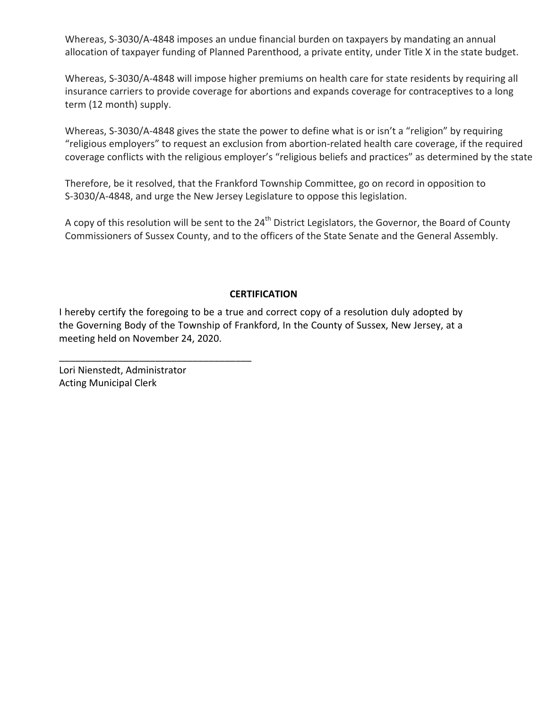Whereas, S-3030/A-4848 imposes an undue financial burden on taxpayers by mandating an annual allocation of taxpayer funding of Planned Parenthood, a private entity, under Title X in the state budget.

 Whereas, S-3030/A-4848 will impose higher premiums on health care for state residents by requiring all insurance carriers to provide coverage for abortions and expands coverage for contraceptives to a long term (12 month) supply.

Whereas, S-3030/A-4848 gives the state the power to define what is or isn't a "religion" by requiring "religious employers" to request an exclusion from abortion-related health care coverage, if the required . coverage conflicts with the religious employer's "religious beliefs and practices" as determined by the state

Therefore, be it resolved, that the Frankford Township Committee, go on record in opposition to S-3030/A-4848, and urge the New Jersey Legislature to oppose this legislation.

A copy of this resolution will be sent to the 24<sup>th</sup> District Legislators, the Governor, the Board of County Commissioners of Sussex County, and to the officers of the State Senate and the General Assembly.

#### **CERTIFICATION**

I hereby certify the foregoing to be a true and correct copy of a resolution duly adopted by the Governing Body of the Township of Frankford, In the County of Sussex, New Jersey, at a meeting held on November 24, 2020.

 Lori Nienstedt, Administrator Acting Municipal Clerk

\_\_\_\_\_\_\_\_\_\_\_\_\_\_\_\_\_\_\_\_\_\_\_\_\_\_\_\_\_\_\_\_\_\_\_\_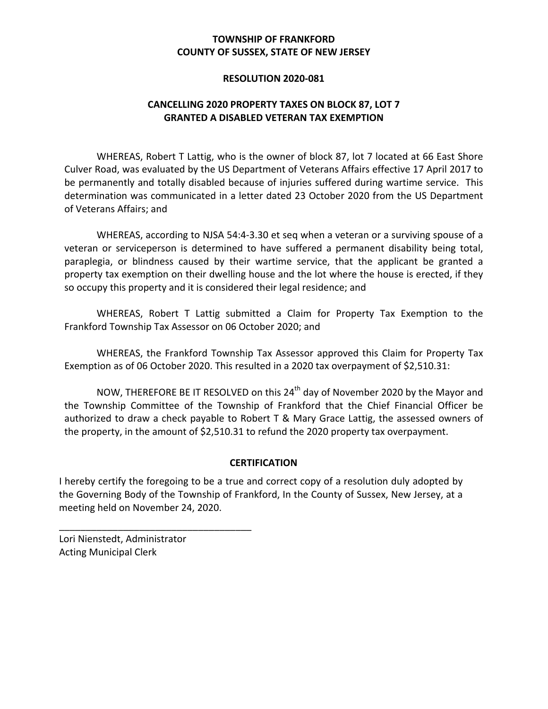## **COUNTY OF SUSSEX, STATE OF NEW JERSEY TOWNSHIP OF FRANKFORD**

#### **RESOLUTION 2020-081**

#### **CANCELLING 2020 PROPERTY TAXES ON BLOCK 87, LOT 7 GRANTED A DISABLED VETERAN TAX EXEMPTION**

WHEREAS, Robert T Lattig, who is the owner of block 87, lot 7 located at 66 East Shore Culver Road, was evaluated by the US Department of Veterans Affairs effective 17 April 2017 to be permanently and totally disabled because of injuries suffered during wartime service. This determination was communicated in a letter dated 23 October 2020 from the US Department of Veterans Affairs; and

WHEREAS, according to NJSA 54:4-3.30 et seq when a veteran or a surviving spouse of a veteran or serviceperson is determined to have suffered a permanent disability being total, paraplegia, or blindness caused by their wartime service, that the applicant be granted a property tax exemption on their dwelling house and the lot where the house is erected, if they so occupy this property and it is considered their legal residence; and

WHEREAS, Robert T Lattig submitted a Claim for Property Tax Exemption to the Frankford Township Tax Assessor on 06 October 2020; and

 WHEREAS, the Frankford Township Tax Assessor approved this Claim for Property Tax Exemption as of 06 October 2020. This resulted in a 2020 tax overpayment of \$2,510.31:

NOW, THEREFORE BE IT RESOLVED on this 24<sup>th</sup> day of November 2020 by the Mayor and the Township Committee of the Township of Frankford that the Chief Financial Officer be authorized to draw a check payable to Robert T & Mary Grace Lattig, the assessed owners of the property, in the amount of \$2,510.31 to refund the 2020 property tax overpayment.

#### **CERTIFICATION**

I hereby certify the foregoing to be a true and correct copy of a resolution duly adopted by the Governing Body of the Township of Frankford, In the County of Sussex, New Jersey, at a meeting held on November 24, 2020.

 Lori Nienstedt, Administrator Acting Municipal Clerk

\_\_\_\_\_\_\_\_\_\_\_\_\_\_\_\_\_\_\_\_\_\_\_\_\_\_\_\_\_\_\_\_\_\_\_\_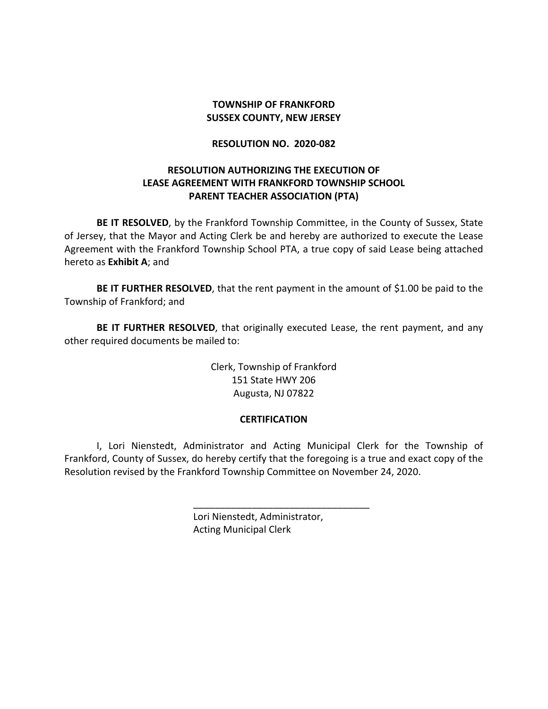## **SUSSEX COUNTY, NEW JERSEY TOWNSHIP OF FRANKFORD**

#### **RESOLUTION NO. 2020-082**

## **RESOLUTION AUTHORIZING THE EXECUTION OF LEASE AGREEMENT WITH FRANKFORD TOWNSHIP SCHOOL PARENT TEACHER ASSOCIATION (PTA)**

BE IT RESOLVED, by the Frankford Township Committee, in the County of Sussex, State of Jersey, that the Mayor and Acting Clerk be and hereby are authorized to execute the Lease Agreement with the Frankford Township School PTA, a true copy of said Lease being attached hereto as **Exhibit A**; and

**BE IT FURTHER RESOLVED**, that the rent payment in the amount of \$1.00 be paid to the Township of Frankford; and

BE IT FURTHER RESOLVED, that originally executed Lease, the rent payment, and any other required documents be mailed to:

> Clerk, Township of Frankford 151 State HWY 206 Augusta, NJ 07822

#### **CERTIFICATION**

 I, Lori Nienstedt, Administrator and Acting Municipal Clerk for the Township of Frankford, County of Sussex, do hereby certify that the foregoing is a true and exact copy of the Resolution revised by the Frankford Township Committee on November 24, 2020.

\_\_\_\_\_\_\_\_\_\_\_\_\_\_\_\_\_\_\_\_\_\_\_\_\_\_\_\_\_\_\_\_\_

 Lori Nienstedt, Administrator, Acting Municipal Clerk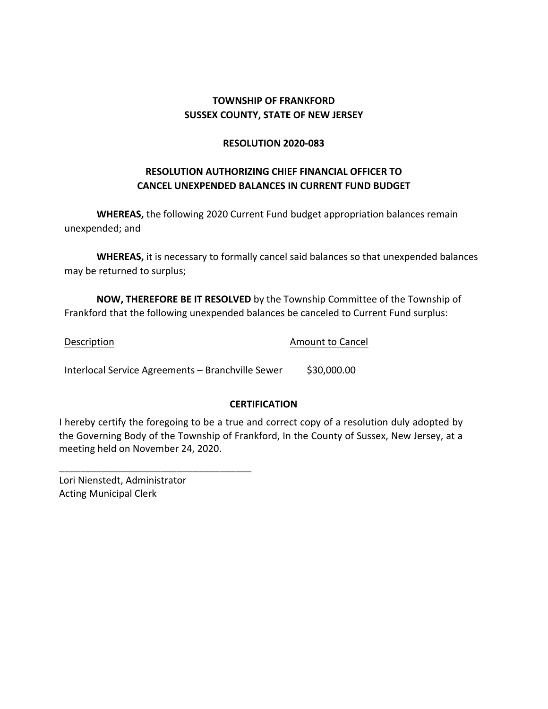## **SUSSEX COUNTY, STATE OF NEW JERSEY TOWNSHIP OF FRANKFORD**

#### **RESOLUTION 2020-083**

## **RESOLUTION AUTHORIZING CHIEF FINANCIAL OFFICER TO CANCEL UNEXPENDED BALANCES IN CURRENT FUND BUDGET**

WHEREAS, the following 2020 Current Fund budget appropriation balances remain unexpended; and

**WHEREAS,** it is necessary to formally cancel said balances so that unexpended balances may be returned to surplus;

**NOW, THEREFORE BE IT RESOLVED** by the Township Committee of the Township of Frankford that the following unexpended balances be canceled to Current Fund surplus:

Description **Amount** to Cancel Interlocal Service Agreements - Branchville Sewer \$30,000.00

## **CERTIFICATION**

I hereby certify the foregoing to be a true and correct copy of a resolution duly adopted by the Governing Body of the Township of Frankford, In the County of Sussex, New Jersey, at a meeting held on November 24, 2020.

 Lori Nienstedt, Administrator Acting Municipal Clerk

\_\_\_\_\_\_\_\_\_\_\_\_\_\_\_\_\_\_\_\_\_\_\_\_\_\_\_\_\_\_\_\_\_\_\_\_